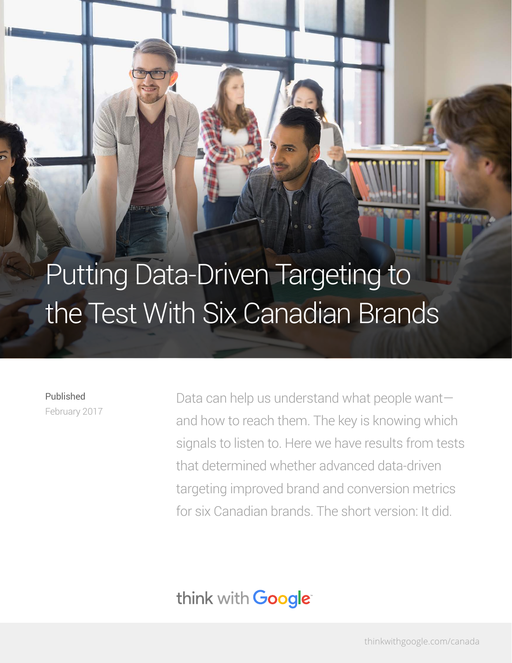# Putting Data-Driven Targeting to the Test With Six Canadian Brands

Published February 2017 Data can help us understand what people want and how to reach them. The key is knowing which signals to listen to. Here we have results from tests that determined whether advanced data-driven targeting improved brand and conversion metrics for six Canadian brands. The short version: It did.

# think with **Google**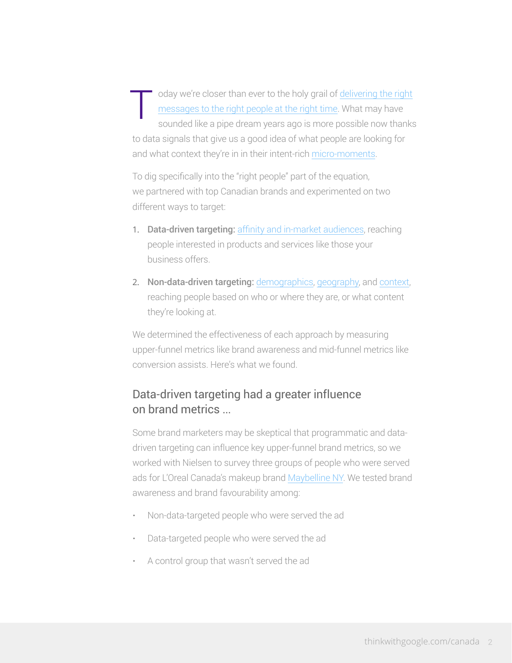oday we're closer than ever to the holy grail of [delivering the right](https://www.thinkwithgoogle.com/articles/how-to-get-canadian-consumers-choose-you-meet-them-in-their-micro-moments.html) [messages to the right people at the right time.](https://www.thinkwithgoogle.com/articles/how-to-get-canadian-consumers-choose-you-meet-them-in-their-micro-moments.html) What may have sounded like a pipe dream years ago is more possible now thanks to data signals that give us a good idea of what people are looking for and what context they're in in their intent-rich [micro-moments.](https://www.thinkwithgoogle.com/collections/canadian-micro-moments.html) T

To dig specifically into the "right people" part of the equation, we partnered with top Canadian brands and experimented on two different ways to target:

- 1. Data-driven targeting: [affinity and in-market audiences](https://support.google.com/adwords/answer/2497941?hl=en), reaching people interested in products and services like those your business offers.
- 2. Non-data-driven targeting: [demographics](https://support.google.com/adwords/answer/2580383?hl=en), [geography](https://support.google.com/adwords/answer/1722043?hl=en), and [context](https://support.google.com/adwords/answer/1726458?hl=en), reaching people based on who or where they are, or what content they're looking at.

We determined the effectiveness of each approach by measuring upper-funnel metrics like brand awareness and mid-funnel metrics like conversion assists. Here's what we found.

## Data-driven targeting had a greater influence on brand metrics ...

Some brand marketers may be skeptical that programmatic and datadriven targeting can influence key upper-funnel brand metrics, so we worked with Nielsen to survey three groups of people who were served ads for L'Oreal Canada's makeup brand [Maybelline NY](https://www.maybelline.ca/). We tested brand awareness and brand favourability among:

- Non-data-targeted people who were served the ad
- Data-targeted people who were served the ad
- A control group that wasn't served the ad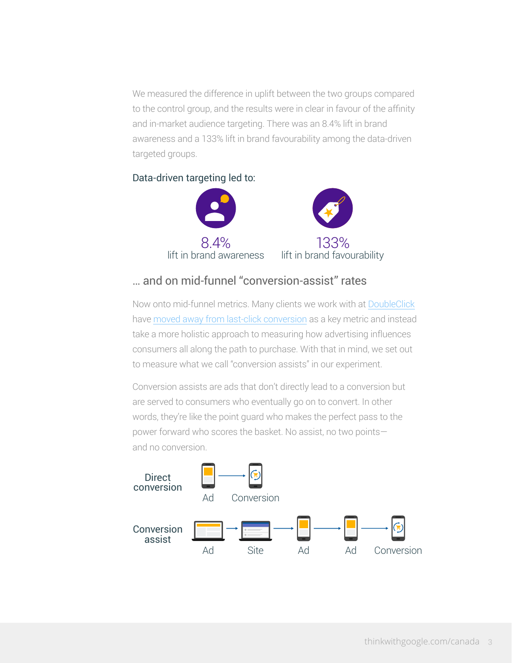We measured the difference in uplift between the two groups compared to the control group, and the results were in clear in favour of the affinity and in-market audience targeting. There was an 8.4% lift in brand awareness and a 133% lift in brand favourability among the data-driven targeted groups.

#### Data-driven targeting led to:



### … and on mid-funnel "conversion-assist" rates

Now onto mid-funnel metrics. Many clients we work with at [DoubleClick](https://www.doubleclickbygoogle.com/) have [moved away from last-click conversion](https://www.thinkwithgoogle.com/case-studies/data-driven-attribution-cuts-ford-canadas-cpa-by-25.html) as a key metric and instead take a more holistic approach to measuring how advertising influences consumers all along the path to purchase. With that in mind, we set out to measure what we call "conversion assists" in our experiment.

Conversion assists are ads that don't directly lead to a conversion but are served to consumers who eventually go on to convert. In other words, they're like the point guard who makes the perfect pass to the power forward who scores the basket. No assist, no two points and no conversion.

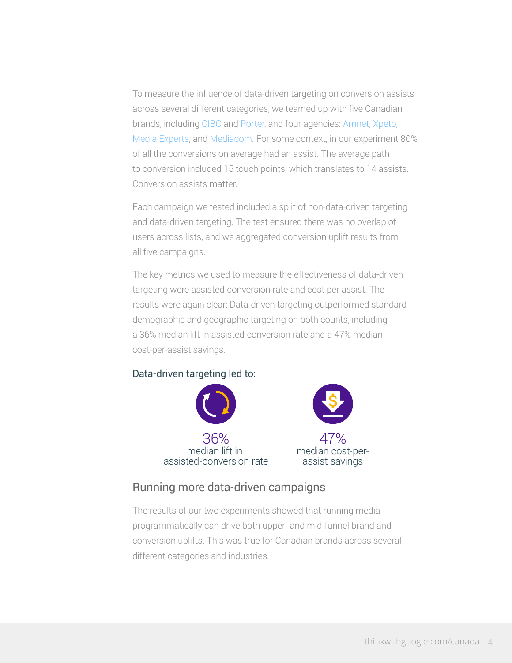To measure the influence of data-driven targeting on conversion assists across several different categories, we teamed up with five Canadian brands, including [CIBC](https://www.cibc.com/en/personal-banking.html) and [Porter](https://www.flyporter.com/Flight?culture=en-US), and four agencies: [Amnet](https://www.amnetgroup.com/), [Xpeto](https://www.xpeto.net/), [Media Experts](http://www.mediaexperts.com/), and [Mediacom](http://www.mediacom.com/en/contact/north-america/toronto/). For some context, in our experiment 80% of all the conversions on average had an assist. The average path to conversion included 15 touch points, which translates to 14 assists. Conversion assists matter.

Each campaign we tested included a split of non-data-driven targeting and data-driven targeting. The test ensured there was no overlap of users across lists, and we aggregated conversion uplift results from all five campaigns.

The key metrics we used to measure the effectiveness of data-driven targeting were assisted-conversion rate and cost per assist. The results were again clear: Data-driven targeting outperformed standard demographic and geographic targeting on both counts, including a 36% median lift in assisted-conversion rate and a 47% median cost-per-assist savings.

#### Data-driven targeting led to:



#### Running more data-driven campaigns

The results of our two experiments showed that running media programmatically can drive both upper- and mid-funnel brand and conversion uplifts. This was true for Canadian brands across several different categories and industries.